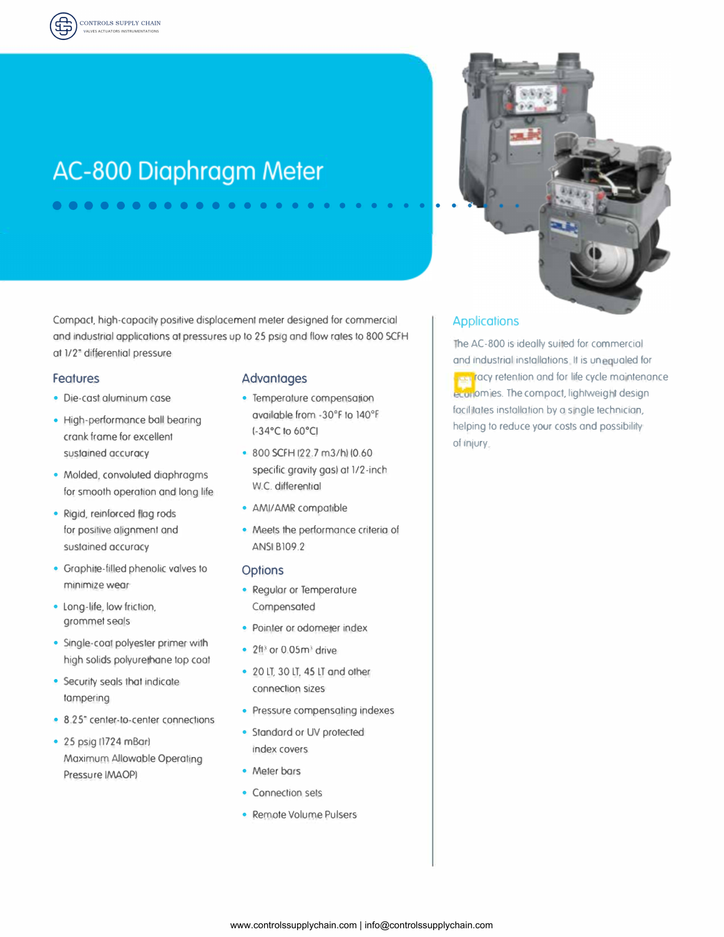# AC-800 Diaphragm Meter

. . . . . . . . . . . .

Compact, high-capacity positive displacement meter designed for commercial and industrial applications at pressures up to 25 psig and flow rates to 800 SCFH at 1/2" differential pressure

### **Features**

- · Die-cast aluminum case
- High-performance ball bearing crank frame for excellent sustained accuracy
- · Molded, convoluted diaphragms for smooth operation and long life
- · Rigid, reinforced flag rods for positive alignment and sustained accuracy
- Graphite-filled phenolic valves to minimize wear
- · Long-life, low friction, grommet seals
- · Single-coal polyester primer with high solids polyurethane top coat
- Security seals that indicate tampering
- 8.25° center-to-center connections
- 25 psig (1724 mBar) Maximum Allowable Operating Pressure (MAOP)

### **Advantages**

- Temperature compensation available from -30°F to 140°F (-34°C to 60°C)
- · 800 SCFH (22.7 m3/h) (0.60 specific gravity gas) at 1/2-inch W.C. differential
- AMI/AMR compatible
- Meets the performance criteria of **ANSI B109.2**

#### **Options**

- Regular or Temperature Compensated
- · Pointer or odometer index
- $\cdot$  2f<sup>13</sup> or 0.05m<sup>3</sup> drive
- 20 LT, 30 LT, 45 LT and other connection sizes
- Pressure compensating indexes
- Standard or UV protected index covers
- Meter bars
- Connection sets
- Remote Volume Pulsers

## **Applications**

The AC-800 is ideally suited for commercial and industrial installations. It is unequaled for racy retention and for life cycle maintenance eculiomies. The compact, lightweight design facilitates installation by a single technician, helping to reduce your costs and possibility of injury.